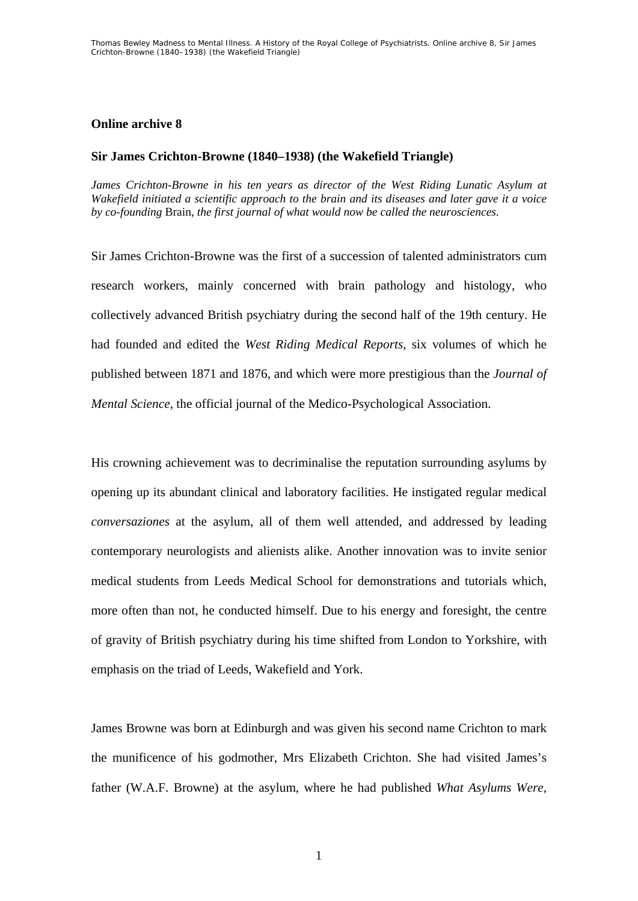## **Online archive 8**

## **Sir James Crichton-Browne (1840–1938) (the Wakefield Triangle)**

*James Crichton-Browne in his ten years as director of the West Riding Lunatic Asylum at Wakefield initiated a scientific approach to the brain and its diseases and later gave it a voice by co-founding* Brain*, the first journal of what would now be called the neurosciences.* 

Sir James Crichton-Browne was the first of a succession of talented administrators cum research workers, mainly concerned with brain pathology and histology, who collectively advanced British psychiatry during the second half of the 19th century. He had founded and edited the *West Riding Medical Reports*, six volumes of which he published between 1871 and 1876, and which were more prestigious than the *Journal of Mental Science*, the official journal of the Medico-Psychological Association.

His crowning achievement was to decriminalise the reputation surrounding asylums by opening up its abundant clinical and laboratory facilities. He instigated regular medical *conversaziones* at the asylum, all of them well attended, and addressed by leading contemporary neurologists and alienists alike. Another innovation was to invite senior medical students from Leeds Medical School for demonstrations and tutorials which, more often than not, he conducted himself. Due to his energy and foresight, the centre of gravity of British psychiatry during his time shifted from London to Yorkshire, with emphasis on the triad of Leeds, Wakefield and York.

James Browne was born at Edinburgh and was given his second name Crichton to mark the munificence of his godmother, Mrs Elizabeth Crichton. She had visited James's father (W.A.F. Browne) at the asylum, where he had published *What Asylums Were,*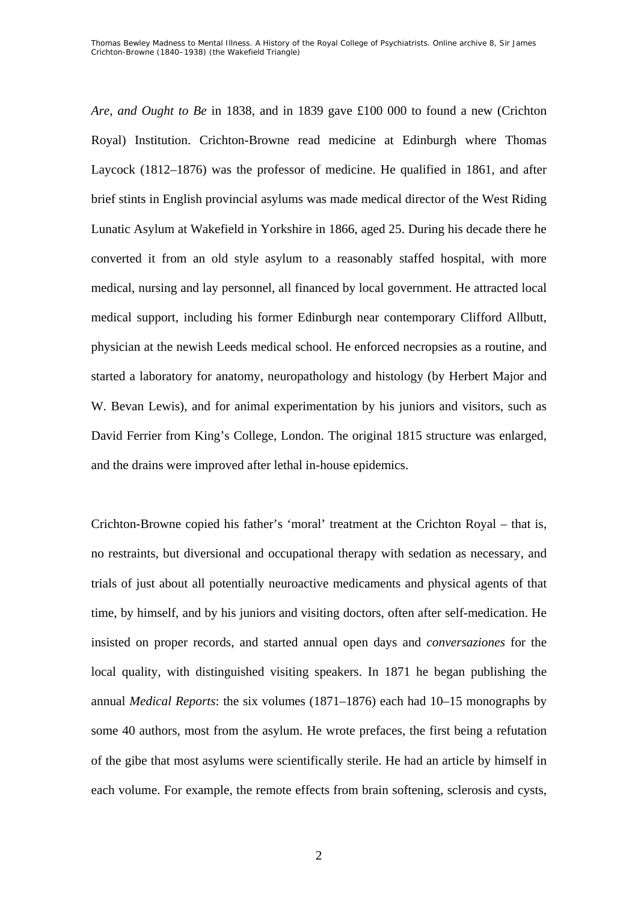*Are, and Ought to Be* in 1838, and in 1839 gave £100 000 to found a new (Crichton Royal) Institution. Crichton-Browne read medicine at Edinburgh where Thomas Laycock (1812–1876) was the professor of medicine. He qualified in 1861, and after brief stints in English provincial asylums was made medical director of the West Riding Lunatic Asylum at Wakefield in Yorkshire in 1866, aged 25. During his decade there he converted it from an old style asylum to a reasonably staffed hospital, with more medical, nursing and lay personnel, all financed by local government. He attracted local medical support, including his former Edinburgh near contemporary Clifford Allbutt, physician at the newish Leeds medical school. He enforced necropsies as a routine, and started a laboratory for anatomy, neuropathology and histology (by Herbert Major and W. Bevan Lewis), and for animal experimentation by his juniors and visitors, such as David Ferrier from King's College, London. The original 1815 structure was enlarged, and the drains were improved after lethal in-house epidemics.

Crichton-Browne copied his father's 'moral' treatment at the Crichton Royal – that is, no restraints, but diversional and occupational therapy with sedation as necessary, and trials of just about all potentially neuroactive medicaments and physical agents of that time, by himself, and by his juniors and visiting doctors, often after self-medication. He insisted on proper records, and started annual open days and *conversaziones* for the local quality, with distinguished visiting speakers. In 1871 he began publishing the annual *Medical Reports*: the six volumes (1871–1876) each had 10–15 monographs by some 40 authors, most from the asylum. He wrote prefaces, the first being a refutation of the gibe that most asylums were scientifically sterile. He had an article by himself in each volume. For example, the remote effects from brain softening, sclerosis and cysts,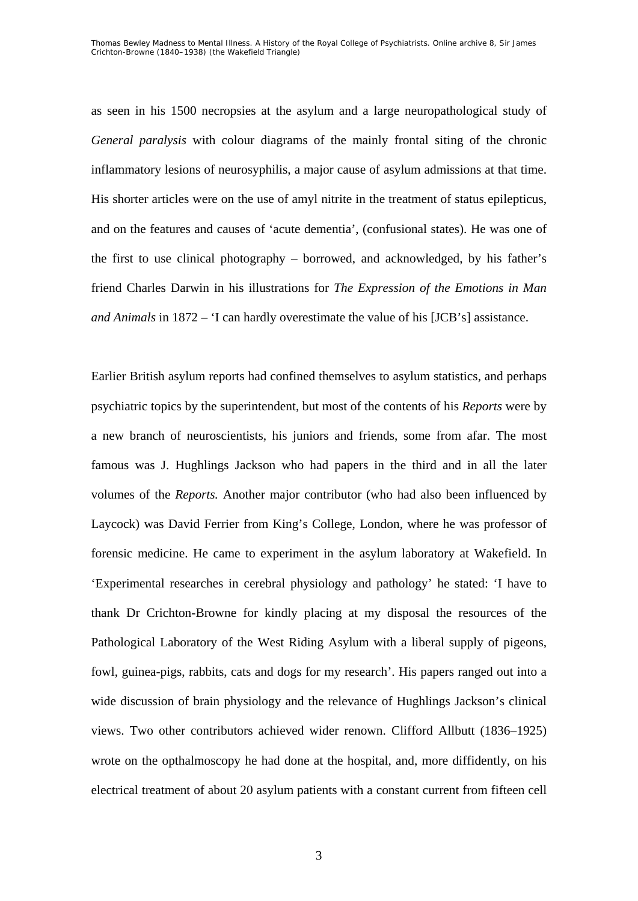as seen in his 1500 necropsies at the asylum and a large neuropathological study of *General paralysis* with colour diagrams of the mainly frontal siting of the chronic inflammatory lesions of neurosyphilis, a major cause of asylum admissions at that time. His shorter articles were on the use of amyl nitrite in the treatment of status epilepticus, and on the features and causes of 'acute dementia', (confusional states). He was one of the first to use clinical photography – borrowed, and acknowledged, by his father's friend Charles Darwin in his illustrations for *The Expression of the Emotions in Man and Animals* in 1872 – 'I can hardly overestimate the value of his [JCB's] assistance.

Earlier British asylum reports had confined themselves to asylum statistics, and perhaps psychiatric topics by the superintendent, but most of the contents of his *Reports* were by a new branch of neuroscientists, his juniors and friends, some from afar. The most famous was J. Hughlings Jackson who had papers in the third and in all the later volumes of the *Reports.* Another major contributor (who had also been influenced by Laycock) was David Ferrier from King's College, London, where he was professor of forensic medicine. He came to experiment in the asylum laboratory at Wakefield. In 'Experimental researches in cerebral physiology and pathology' he stated: 'I have to thank Dr Crichton-Browne for kindly placing at my disposal the resources of the Pathological Laboratory of the West Riding Asylum with a liberal supply of pigeons, fowl, guinea-pigs, rabbits, cats and dogs for my research'. His papers ranged out into a wide discussion of brain physiology and the relevance of Hughlings Jackson's clinical views. Two other contributors achieved wider renown. Clifford Allbutt (1836–1925) wrote on the opthalmoscopy he had done at the hospital, and, more diffidently, on his electrical treatment of about 20 asylum patients with a constant current from fifteen cell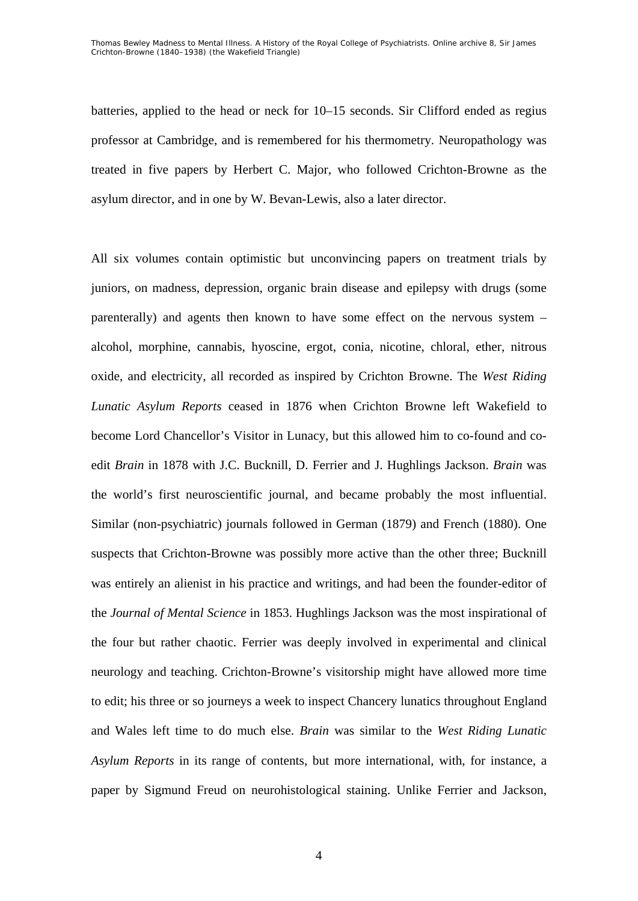batteries, applied to the head or neck for 10–15 seconds. Sir Clifford ended as regius professor at Cambridge, and is remembered for his thermometry. Neuropathology was treated in five papers by Herbert C. Major, who followed Crichton-Browne as the asylum director, and in one by W. Bevan-Lewis, also a later director.

All six volumes contain optimistic but unconvincing papers on treatment trials by juniors, on madness, depression, organic brain disease and epilepsy with drugs (some parenterally) and agents then known to have some effect on the nervous system – alcohol, morphine, cannabis, hyoscine, ergot, conia, nicotine, chloral, ether, nitrous oxide, and electricity, all recorded as inspired by Crichton Browne. The *West Riding Lunatic Asylum Reports* ceased in 1876 when Crichton Browne left Wakefield to become Lord Chancellor's Visitor in Lunacy, but this allowed him to co-found and coedit *Brain* in 1878 with J.C. Bucknill, D. Ferrier and J. Hughlings Jackson. *Brain* was the world's first neuroscientific journal, and became probably the most influential. Similar (non-psychiatric) journals followed in German (1879) and French (1880). One suspects that Crichton-Browne was possibly more active than the other three; Bucknill was entirely an alienist in his practice and writings, and had been the founder-editor of the *Journal of Mental Science* in 1853. Hughlings Jackson was the most inspirational of the four but rather chaotic. Ferrier was deeply involved in experimental and clinical neurology and teaching. Crichton-Browne's visitorship might have allowed more time to edit; his three or so journeys a week to inspect Chancery lunatics throughout England and Wales left time to do much else. *Brain* was similar to the *West Riding Lunatic Asylum Reports* in its range of contents, but more international, with, for instance, a paper by Sigmund Freud on neurohistological staining. Unlike Ferrier and Jackson,